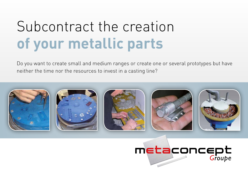# Subcontract the creation **of your metallic parts**

Do you want to create small and medium ranges or create one or several prototypes but have neither the time nor the resources to invest in a casting line?